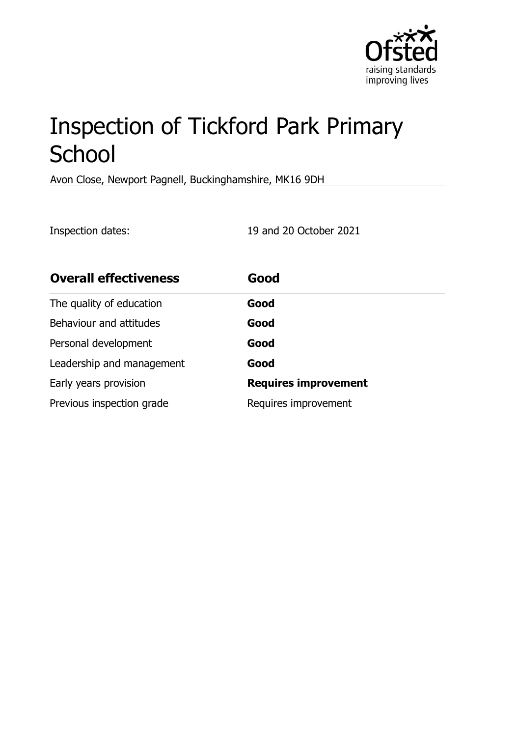

# Inspection of Tickford Park Primary **School**

Avon Close, Newport Pagnell, Buckinghamshire, MK16 9DH

Inspection dates: 19 and 20 October 2021

| <b>Overall effectiveness</b> | Good                        |
|------------------------------|-----------------------------|
| The quality of education     | Good                        |
| Behaviour and attitudes      | Good                        |
| Personal development         | Good                        |
| Leadership and management    | Good                        |
| Early years provision        | <b>Requires improvement</b> |
| Previous inspection grade    | Requires improvement        |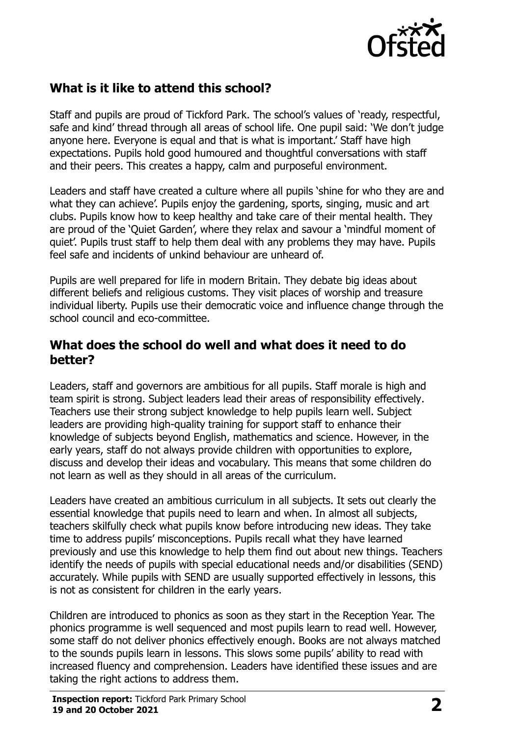

# **What is it like to attend this school?**

Staff and pupils are proud of Tickford Park. The school's values of 'ready, respectful, safe and kind' thread through all areas of school life. One pupil said: 'We don't judge anyone here. Everyone is equal and that is what is important.' Staff have high expectations. Pupils hold good humoured and thoughtful conversations with staff and their peers. This creates a happy, calm and purposeful environment.

Leaders and staff have created a culture where all pupils 'shine for who they are and what they can achieve'. Pupils enjoy the gardening, sports, singing, music and art clubs. Pupils know how to keep healthy and take care of their mental health. They are proud of the 'Quiet Garden', where they relax and savour a 'mindful moment of quiet'. Pupils trust staff to help them deal with any problems they may have. Pupils feel safe and incidents of unkind behaviour are unheard of.

Pupils are well prepared for life in modern Britain. They debate big ideas about different beliefs and religious customs. They visit places of worship and treasure individual liberty. Pupils use their democratic voice and influence change through the school council and eco-committee.

#### **What does the school do well and what does it need to do better?**

Leaders, staff and governors are ambitious for all pupils. Staff morale is high and team spirit is strong. Subject leaders lead their areas of responsibility effectively. Teachers use their strong subject knowledge to help pupils learn well. Subject leaders are providing high-quality training for support staff to enhance their knowledge of subjects beyond English, mathematics and science. However, in the early years, staff do not always provide children with opportunities to explore, discuss and develop their ideas and vocabulary. This means that some children do not learn as well as they should in all areas of the curriculum.

Leaders have created an ambitious curriculum in all subjects. It sets out clearly the essential knowledge that pupils need to learn and when. In almost all subjects, teachers skilfully check what pupils know before introducing new ideas. They take time to address pupils' misconceptions. Pupils recall what they have learned previously and use this knowledge to help them find out about new things. Teachers identify the needs of pupils with special educational needs and/or disabilities (SEND) accurately. While pupils with SEND are usually supported effectively in lessons, this is not as consistent for children in the early years.

Children are introduced to phonics as soon as they start in the Reception Year. The phonics programme is well sequenced and most pupils learn to read well. However, some staff do not deliver phonics effectively enough. Books are not always matched to the sounds pupils learn in lessons. This slows some pupils' ability to read with increased fluency and comprehension. Leaders have identified these issues and are taking the right actions to address them.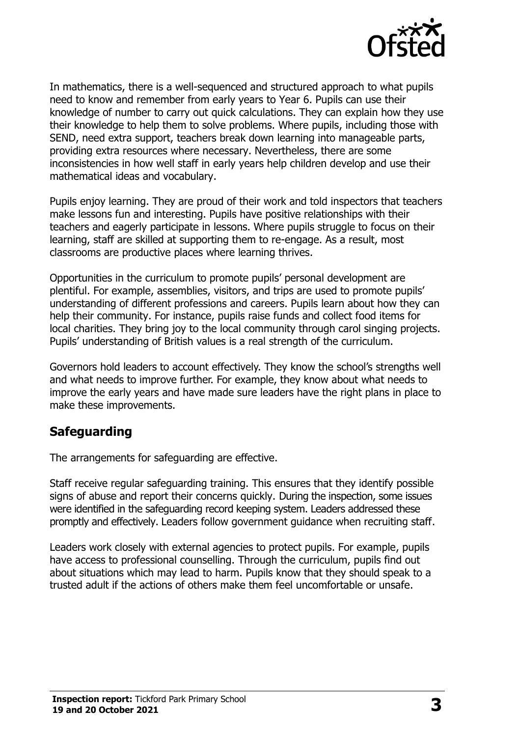

In mathematics, there is a well-sequenced and structured approach to what pupils need to know and remember from early years to Year 6. Pupils can use their knowledge of number to carry out quick calculations. They can explain how they use their knowledge to help them to solve problems. Where pupils, including those with SEND, need extra support, teachers break down learning into manageable parts, providing extra resources where necessary. Nevertheless, there are some inconsistencies in how well staff in early years help children develop and use their mathematical ideas and vocabulary.

Pupils enjoy learning. They are proud of their work and told inspectors that teachers make lessons fun and interesting. Pupils have positive relationships with their teachers and eagerly participate in lessons. Where pupils struggle to focus on their learning, staff are skilled at supporting them to re-engage. As a result, most classrooms are productive places where learning thrives.

Opportunities in the curriculum to promote pupils' personal development are plentiful. For example, assemblies, visitors, and trips are used to promote pupils' understanding of different professions and careers. Pupils learn about how they can help their community. For instance, pupils raise funds and collect food items for local charities. They bring joy to the local community through carol singing projects. Pupils' understanding of British values is a real strength of the curriculum.

Governors hold leaders to account effectively. They know the school's strengths well and what needs to improve further. For example, they know about what needs to improve the early years and have made sure leaders have the right plans in place to make these improvements.

# **Safeguarding**

The arrangements for safeguarding are effective.

Staff receive regular safeguarding training. This ensures that they identify possible signs of abuse and report their concerns quickly. During the inspection, some issues were identified in the safeguarding record keeping system. Leaders addressed these promptly and effectively. Leaders follow government guidance when recruiting staff.

Leaders work closely with external agencies to protect pupils. For example, pupils have access to professional counselling. Through the curriculum, pupils find out about situations which may lead to harm. Pupils know that they should speak to a trusted adult if the actions of others make them feel uncomfortable or unsafe.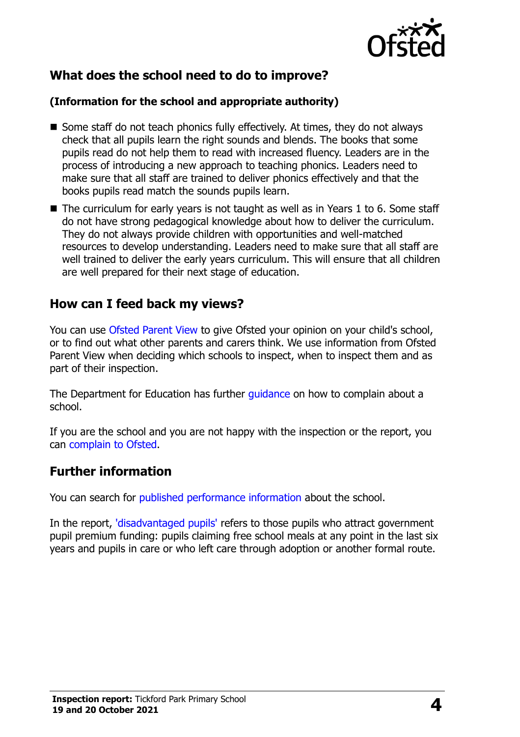

# **What does the school need to do to improve?**

#### **(Information for the school and appropriate authority)**

- Some staff do not teach phonics fully effectively. At times, they do not always check that all pupils learn the right sounds and blends. The books that some pupils read do not help them to read with increased fluency. Leaders are in the process of introducing a new approach to teaching phonics. Leaders need to make sure that all staff are trained to deliver phonics effectively and that the books pupils read match the sounds pupils learn.
- The curriculum for early years is not taught as well as in Years 1 to 6. Some staff do not have strong pedagogical knowledge about how to deliver the curriculum. They do not always provide children with opportunities and well-matched resources to develop understanding. Leaders need to make sure that all staff are well trained to deliver the early years curriculum. This will ensure that all children are well prepared for their next stage of education.

### **How can I feed back my views?**

You can use [Ofsted Parent View](http://parentview.ofsted.gov.uk/) to give Ofsted your opinion on your child's school, or to find out what other parents and carers think. We use information from Ofsted Parent View when deciding which schools to inspect, when to inspect them and as part of their inspection.

The Department for Education has further [guidance](http://www.gov.uk/complain-about-school) on how to complain about a school.

If you are the school and you are not happy with the inspection or the report, you can [complain to Ofsted.](http://www.gov.uk/complain-ofsted-report)

### **Further information**

You can search for [published performance information](http://www.compare-school-performance.service.gov.uk/) about the school.

In the report, ['disadvantaged pupils'](http://www.gov.uk/guidance/pupil-premium-information-for-schools-and-alternative-provision-settings) refers to those pupils who attract government pupil premium funding: pupils claiming free school meals at any point in the last six years and pupils in care or who left care through adoption or another formal route.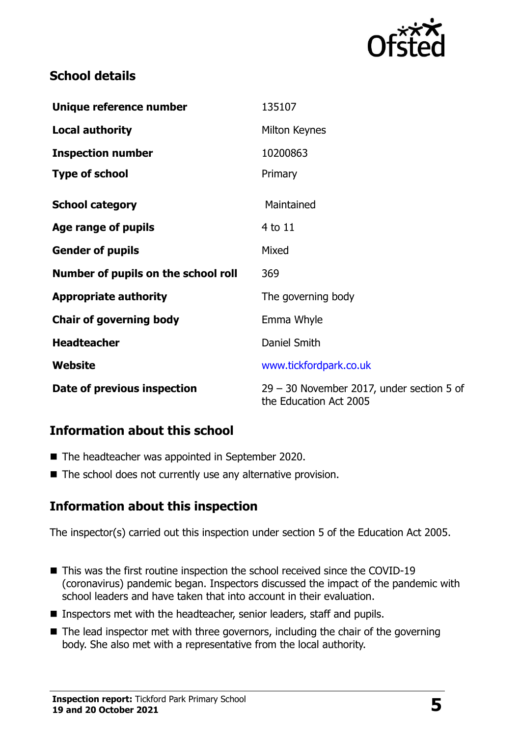

# **School details**

| Unique reference number             | 135107                                                                |  |
|-------------------------------------|-----------------------------------------------------------------------|--|
| <b>Local authority</b>              | Milton Keynes                                                         |  |
| <b>Inspection number</b>            | 10200863                                                              |  |
| <b>Type of school</b>               | Primary                                                               |  |
| <b>School category</b>              | Maintained                                                            |  |
| Age range of pupils                 | 4 to 11                                                               |  |
| <b>Gender of pupils</b>             | Mixed                                                                 |  |
| Number of pupils on the school roll | 369                                                                   |  |
| <b>Appropriate authority</b>        | The governing body                                                    |  |
| <b>Chair of governing body</b>      | Emma Whyle                                                            |  |
| <b>Headteacher</b>                  | Daniel Smith                                                          |  |
| <b>Website</b>                      | www.tickfordpark.co.uk                                                |  |
| Date of previous inspection         | $29 - 30$ November 2017, under section 5 of<br>the Education Act 2005 |  |

# **Information about this school**

- The headteacher was appointed in September 2020.
- The school does not currently use any alternative provision.

# **Information about this inspection**

The inspector(s) carried out this inspection under section 5 of the Education Act 2005.

- This was the first routine inspection the school received since the COVID-19 (coronavirus) pandemic began. Inspectors discussed the impact of the pandemic with school leaders and have taken that into account in their evaluation.
- Inspectors met with the headteacher, senior leaders, staff and pupils.
- The lead inspector met with three governors, including the chair of the governing body. She also met with a representative from the local authority.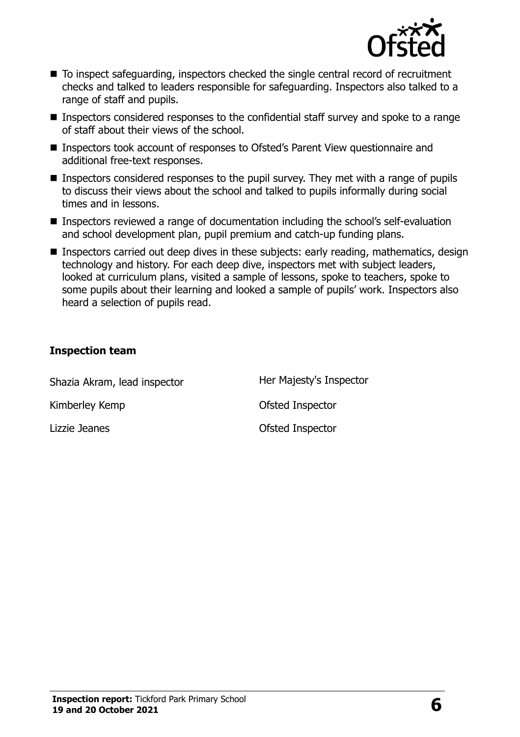

- To inspect safeguarding, inspectors checked the single central record of recruitment checks and talked to leaders responsible for safeguarding. Inspectors also talked to a range of staff and pupils.
- Inspectors considered responses to the confidential staff survey and spoke to a range of staff about their views of the school.
- Inspectors took account of responses to Ofsted's Parent View questionnaire and additional free-text responses.
- Inspectors considered responses to the pupil survey. They met with a range of pupils to discuss their views about the school and talked to pupils informally during social times and in lessons.
- Inspectors reviewed a range of documentation including the school's self-evaluation and school development plan, pupil premium and catch-up funding plans.
- Inspectors carried out deep dives in these subjects: early reading, mathematics, design technology and history. For each deep dive, inspectors met with subject leaders, looked at curriculum plans, visited a sample of lessons, spoke to teachers, spoke to some pupils about their learning and looked a sample of pupils' work. Inspectors also heard a selection of pupils read.

#### **Inspection team**

| Shazia Akram, lead inspector | Her Majesty's Inspector |
|------------------------------|-------------------------|
| Kimberley Kemp               | Ofsted Inspector        |
| Lizzie Jeanes                | Ofsted Inspector        |